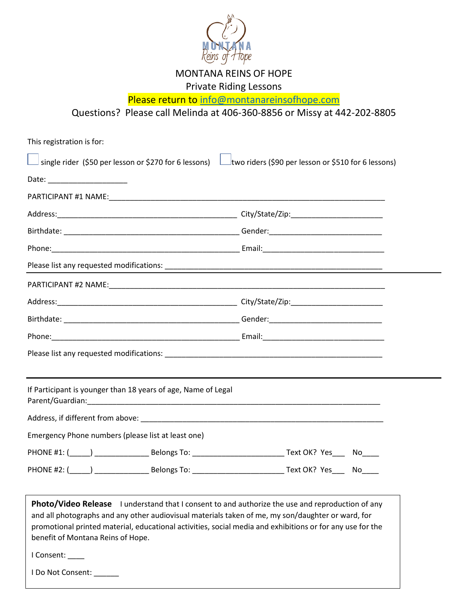

MONTANA REINS OF HOPE

Private Riding Lessons

Please return to [info@montanareinsofhope.com](mailto:info@montanareinsofhope.com)

Questions? Please call Melinda at 406-360-8856 or Missy at 442-202-8805

| This registration is for:                                                                                                                                                                                                                                                                                                                                                                              |  |
|--------------------------------------------------------------------------------------------------------------------------------------------------------------------------------------------------------------------------------------------------------------------------------------------------------------------------------------------------------------------------------------------------------|--|
| single rider (\$50 per lesson or \$270 for 6 lessons) Lubble riders (\$90 per lesson or \$510 for 6 lessons)                                                                                                                                                                                                                                                                                           |  |
|                                                                                                                                                                                                                                                                                                                                                                                                        |  |
|                                                                                                                                                                                                                                                                                                                                                                                                        |  |
|                                                                                                                                                                                                                                                                                                                                                                                                        |  |
|                                                                                                                                                                                                                                                                                                                                                                                                        |  |
|                                                                                                                                                                                                                                                                                                                                                                                                        |  |
|                                                                                                                                                                                                                                                                                                                                                                                                        |  |
|                                                                                                                                                                                                                                                                                                                                                                                                        |  |
|                                                                                                                                                                                                                                                                                                                                                                                                        |  |
|                                                                                                                                                                                                                                                                                                                                                                                                        |  |
|                                                                                                                                                                                                                                                                                                                                                                                                        |  |
|                                                                                                                                                                                                                                                                                                                                                                                                        |  |
|                                                                                                                                                                                                                                                                                                                                                                                                        |  |
| If Participant is younger than 18 years of age, Name of Legal                                                                                                                                                                                                                                                                                                                                          |  |
|                                                                                                                                                                                                                                                                                                                                                                                                        |  |
| Emergency Phone numbers (please list at least one)                                                                                                                                                                                                                                                                                                                                                     |  |
|                                                                                                                                                                                                                                                                                                                                                                                                        |  |
|                                                                                                                                                                                                                                                                                                                                                                                                        |  |
| <b>Photo/Video Release</b> I understand that I consent to and authorize the use and reproduction of any<br>and all photographs and any other audiovisual materials taken of me, my son/daughter or ward, for<br>promotional printed material, educational activities, social media and exhibitions or for any use for the<br>benefit of Montana Reins of Hope.<br>I Consent: ____<br>I Do Not Consent: |  |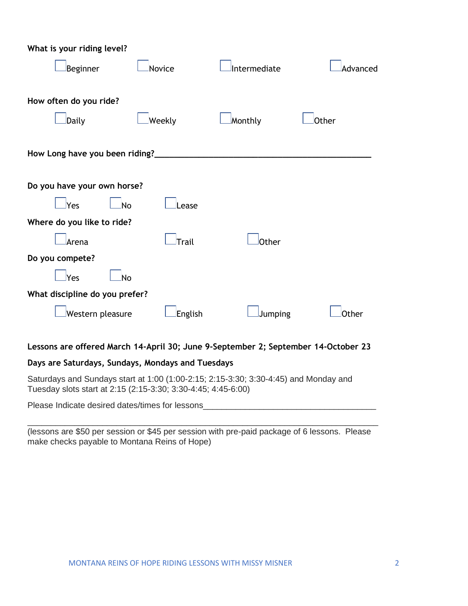| What is your riding level?     |               |              |              |
|--------------------------------|---------------|--------------|--------------|
| Beginner                       | Novice        | Intermediate | Advanced     |
| How often do you ride?         |               |              |              |
| Daily                          | Weekly        | Monthly      | Other        |
| How Long have you been riding? |               |              |              |
| Do you have your own horse?    |               |              |              |
| lYes<br>lNo                    | ease.         |              |              |
| Where do you like to ride?     |               |              |              |
| Arena                          | <b>T</b> rail | Other        |              |
| Do you compete?                |               |              |              |
| <u>l</u> Yes<br>No             |               |              |              |
| What discipline do you prefer? |               |              |              |
| Western pleasure               | English       | Jumping      | <b>Other</b> |

### **Lessons are offered March 14-April 30; June 9-September 2; September 14-October 23**

### **Days are Saturdays, Sundays, Mondays and Tuesdays**

Saturdays and Sundays start at 1:00 (1:00-2:15; 2:15-3:30; 3:30-4:45) and Monday and Tuesday slots start at 2:15 (2:15-3:30; 3:30-4:45; 4:45-6:00)

Please Indicate desired dates/times for lessons\_\_\_\_\_\_\_\_\_\_\_\_\_\_\_\_\_\_\_\_\_\_\_\_\_\_\_\_\_\_\_\_\_\_\_\_\_

\_\_\_\_\_\_\_\_\_\_\_\_\_\_\_\_\_\_\_\_\_\_\_\_\_\_\_\_\_\_\_\_\_\_\_\_\_\_\_\_\_\_\_\_\_\_\_\_\_\_\_\_\_\_\_\_\_\_\_\_\_\_\_\_\_\_\_\_\_\_\_\_\_\_\_

| (lessons are \$50 per session or \$45 per session with pre-paid package of 6 lessons. Please |  |
|----------------------------------------------------------------------------------------------|--|
| make checks payable to Montana Reins of Hope)                                                |  |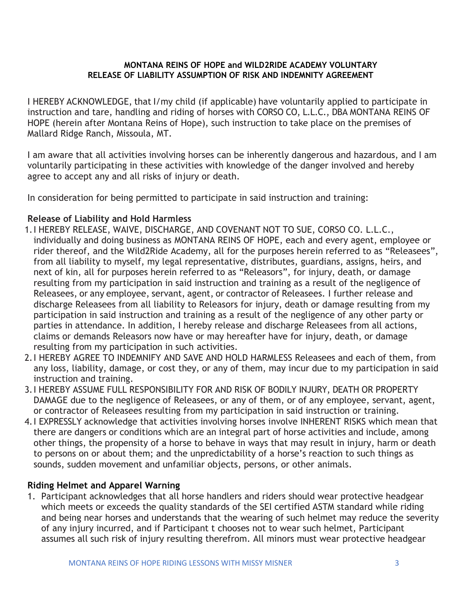### **MONTANA REINS OF HOPE and WILD2RIDE ACADEMY VOLUNTARY RELEASE OF LIABILITY ASSUMPTION OF RISK AND INDEMNITY AGREEMENT**

I HEREBY ACKNOWLEDGE, that I/my child (if applicable) have voluntarily applied to participate in instruction and tare, handling and riding of horses with CORSO CO, L.L.C., DBA MONTANA REINS OF HOPE (herein after Montana Reins of Hope), such instruction to take place on the premises of Mallard Ridge Ranch, Missoula, MT.

I am aware that all activities involving horses can be inherently dangerous and hazardous, and I am voluntarily participating in these activities with knowledge of the danger involved and hereby agree to accept any and all risks of injury or death.

In consideration for being permitted to participate in said instruction and training:

## **Release of Liability and Hold Harmless**

- 1.I HEREBY RELEASE, WAIVE, DISCHARGE, AND COVENANT NOT TO SUE, CORSO CO. L.L.C., individually and doing business as MONTANA REINS OF HOPE, each and every agent, employee or rider thereof, and the Wild2Ride Academy, all for the purposes herein referred to as "Releasees", from all liability to myself, my legal representative, distributes, guardians, assigns, heirs, and next of kin, all for purposes herein referred to as "Releasors", for injury, death, or damage resulting from my participation in said instruction and training as a result of the negligence of Releasees, or any employee, servant, agent, or contractor of Releasees. I further release and discharge Releasees from all liability to Releasors for injury, death or damage resulting from my participation in said instruction and training as a result of the negligence of any other party or parties in attendance. In addition, I hereby release and discharge Releasees from all actions, claims or demands Releasors now have or may hereafter have for injury, death, or damage resulting from my participation in such activities.
- 2.I HEREBY AGREE TO INDEMNIFY AND SAVE AND HOLD HARMLESS Releasees and each of them, from any loss, liability, damage, or cost they, or any of them, may incur due to my participation in said instruction and training.
- 3.I HEREBY ASSUME FULL RESPONSIBILITY FOR AND RISK OF BODILY INJURY, DEATH OR PROPERTY DAMAGE due to the negligence of Releasees, or any of them, or of any employee, servant, agent, or contractor of Releasees resulting from my participation in said instruction or training.
- 4.I EXPRESSLY acknowledge that activities involving horses involve INHERENT RISKS which mean that there are dangers or conditions which are an integral part of horse activities and include, among other things, the propensity of a horse to behave in ways that may result in injury, harm or death to persons on or about them; and the unpredictability of a horse's reaction to such things as sounds, sudden movement and unfamiliar objects, persons, or other animals.

## **Riding Helmet and Apparel Warning**

1. Participant acknowledges that all horse handlers and riders should wear protective headgear which meets or exceeds the quality standards of the SEI certified ASTM standard while riding and being near horses and understands that the wearing of such helmet may reduce the severity of any injury incurred, and if Participant t chooses not to wear such helmet, Participant assumes all such risk of injury resulting therefrom. All minors must wear protective headgear